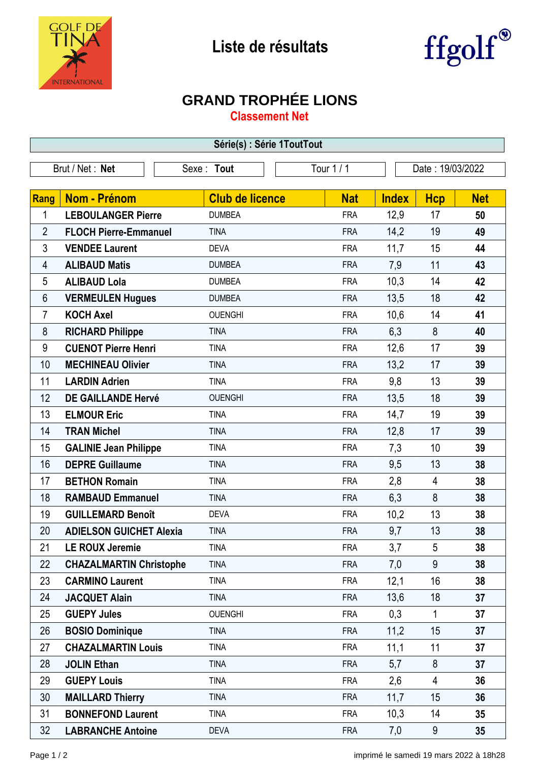



## **GRAND TROPHÉE LIONS**

**Classement Net**

| Série(s) : Série 1ToutTout |                                                                 |                        |            |              |                |                 |  |
|----------------------------|-----------------------------------------------------------------|------------------------|------------|--------------|----------------|-----------------|--|
|                            | Tour 1 / 1<br>Brut / Net: Net<br>Date: 19/03/2022<br>Sexe: Tout |                        |            |              |                |                 |  |
|                            |                                                                 |                        |            |              |                |                 |  |
| Rang                       | Nom - Prénom                                                    | <b>Club de licence</b> | <b>Nat</b> | <b>Index</b> | <b>Hcp</b>     | <b>Net</b>      |  |
| 1                          | <b>LEBOULANGER Pierre</b>                                       | <b>DUMBEA</b>          | <b>FRA</b> | 12,9         | 17             | 50              |  |
| $\overline{2}$             | <b>FLOCH Pierre-Emmanuel</b>                                    | <b>TINA</b>            | <b>FRA</b> | 14,2         | 19             | 49              |  |
| 3                          | <b>VENDEE Laurent</b>                                           | <b>DEVA</b>            | <b>FRA</b> | 11,7         | 15             | 44              |  |
| 4                          | <b>ALIBAUD Matis</b>                                            | <b>DUMBEA</b>          | <b>FRA</b> | 7,9          | 11             | 43              |  |
| 5                          | <b>ALIBAUD Lola</b>                                             | <b>DUMBEA</b>          | <b>FRA</b> | 10,3         | 14             | 42              |  |
| 6                          | <b>VERMEULEN Hugues</b>                                         | <b>DUMBEA</b>          | <b>FRA</b> | 13,5         | 18             | 42              |  |
| 7                          | <b>KOCH Axel</b>                                                | <b>OUENGHI</b>         | <b>FRA</b> | 10,6         | 14             | 41              |  |
| 8                          | <b>RICHARD Philippe</b>                                         | <b>TINA</b>            | <b>FRA</b> | 6,3          | 8              | 40              |  |
| 9                          | <b>CUENOT Pierre Henri</b>                                      | <b>TINA</b>            | <b>FRA</b> | 12,6         | 17             | 39              |  |
| 10                         | <b>MECHINEAU Olivier</b>                                        | <b>TINA</b>            | <b>FRA</b> | 13,2         | 17             | 39              |  |
| 11                         | <b>LARDIN Adrien</b>                                            | <b>TINA</b>            | <b>FRA</b> | 9,8          | 13             | 39              |  |
| 12                         | <b>DE GAILLANDE Hervé</b>                                       | <b>OUENGHI</b>         | <b>FRA</b> | 13,5         | 18             | 39              |  |
| 13                         | <b>ELMOUR Eric</b>                                              | <b>TINA</b>            | <b>FRA</b> | 14,7         | 19             | 39              |  |
| 14                         | <b>TRAN Michel</b>                                              | <b>TINA</b>            | <b>FRA</b> | 12,8         | 17             | 39              |  |
| 15                         | <b>GALINIE Jean Philippe</b>                                    | <b>TINA</b>            | <b>FRA</b> | 7,3          | 10             | 39              |  |
| 16                         | <b>DEPRE Guillaume</b>                                          | <b>TINA</b>            | <b>FRA</b> | 9,5          | 13             | 38              |  |
| 17                         | <b>BETHON Romain</b>                                            | <b>TINA</b>            | <b>FRA</b> | 2,8          | $\overline{4}$ | 38              |  |
| 18                         | <b>RAMBAUD Emmanuel</b>                                         | <b>TINA</b>            | <b>FRA</b> | 6,3          | 8              | 38              |  |
| 19                         | <b>GUILLEMARD Benoît</b>                                        | <b>DEVA</b>            | <b>FRA</b> | 10,2         | 13             | 38              |  |
| 20                         | <b>ADIELSON GUICHET Alexia</b>                                  | <b>TINA</b>            | <b>FRA</b> | 9,7          | 13             | 38              |  |
| 21                         | <b>LE ROUX Jeremie</b>                                          | <b>TINA</b>            | <b>FRA</b> | 3,7          | 5              | 38              |  |
| 22                         | <b>CHAZALMARTIN Christophe</b>                                  | <b>TINA</b>            | <b>FRA</b> | 7,0          | 9              | 38              |  |
| 23                         | <b>CARMINO Laurent</b>                                          | <b>TINA</b>            | <b>FRA</b> | 12,1         | 16             | 38              |  |
| 24                         | <b>JACQUET Alain</b>                                            | <b>TINA</b>            | <b>FRA</b> | 13,6         | 18             | 37              |  |
| 25                         | <b>GUEPY Jules</b>                                              | <b>OUENGHI</b>         | <b>FRA</b> | 0,3          | $\mathbf{1}$   | 37              |  |
| 26                         | <b>BOSIO Dominique</b>                                          | <b>TINA</b>            | <b>FRA</b> | 11,2         | 15             | 37              |  |
| 27                         | <b>CHAZALMARTIN Louis</b>                                       | <b>TINA</b>            | <b>FRA</b> | 11,1         | 11             | 37              |  |
| 28                         | <b>JOLIN Ethan</b>                                              | <b>TINA</b>            | <b>FRA</b> | 5,7          | 8              | 37              |  |
| 29                         | <b>GUEPY Louis</b>                                              | <b>TINA</b>            | <b>FRA</b> | 2,6          | 4              | 36              |  |
| 30                         | <b>MAILLARD Thierry</b>                                         | <b>TINA</b>            | <b>FRA</b> | 11,7         | 15             | 36              |  |
| 31                         | <b>BONNEFOND Laurent</b>                                        | <b>TINA</b>            | <b>FRA</b> | 10,3         | 14             | 35              |  |
| 32                         | <b>LABRANCHE Antoine</b>                                        | <b>DEVA</b>            | <b>FRA</b> | 7,0          | 9              | 35 <sub>5</sub> |  |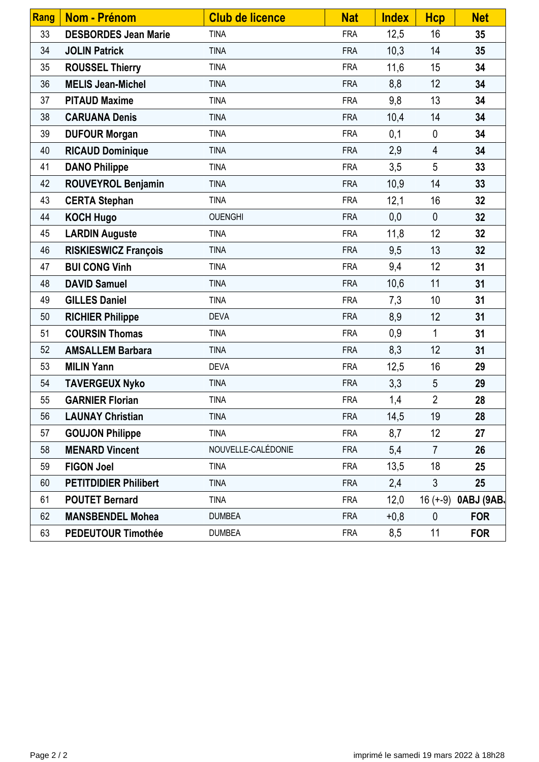| Rang | Nom - Prénom                 | <b>Club de licence</b> | <b>Nat</b> | <b>Index</b> | <b>Hcp</b>     | <b>Net</b> |
|------|------------------------------|------------------------|------------|--------------|----------------|------------|
| 33   | <b>DESBORDES Jean Marie</b>  | <b>TINA</b>            | <b>FRA</b> | 12,5         | 16             | 35         |
| 34   | <b>JOLIN Patrick</b>         | <b>TINA</b>            | <b>FRA</b> | 10,3         | 14             | 35         |
| 35   | <b>ROUSSEL Thierry</b>       | <b>TINA</b>            | <b>FRA</b> | 11,6         | 15             | 34         |
| 36   | <b>MELIS Jean-Michel</b>     | <b>TINA</b>            | <b>FRA</b> | 8,8          | 12             | 34         |
| 37   | <b>PITAUD Maxime</b>         | <b>TINA</b>            | <b>FRA</b> | 9,8          | 13             | 34         |
| 38   | <b>CARUANA Denis</b>         | <b>TINA</b>            | <b>FRA</b> | 10,4         | 14             | 34         |
| 39   | <b>DUFOUR Morgan</b>         | <b>TINA</b>            | <b>FRA</b> | 0,1          | $\pmb{0}$      | 34         |
| 40   | <b>RICAUD Dominique</b>      | <b>TINA</b>            | <b>FRA</b> | 2,9          | $\overline{4}$ | 34         |
| 41   | <b>DANO Philippe</b>         | <b>TINA</b>            | <b>FRA</b> | 3,5          | 5              | 33         |
| 42   | <b>ROUVEYROL Benjamin</b>    | <b>TINA</b>            | <b>FRA</b> | 10,9         | 14             | 33         |
| 43   | <b>CERTA Stephan</b>         | <b>TINA</b>            | <b>FRA</b> | 12,1         | 16             | 32         |
| 44   | <b>KOCH Hugo</b>             | <b>OUENGHI</b>         | <b>FRA</b> | 0,0          | $\mathbf{0}$   | 32         |
| 45   | <b>LARDIN Auguste</b>        | <b>TINA</b>            | <b>FRA</b> | 11,8         | 12             | 32         |
| 46   | <b>RISKIESWICZ François</b>  | <b>TINA</b>            | <b>FRA</b> | 9,5          | 13             | 32         |
| 47   | <b>BUI CONG Vinh</b>         | <b>TINA</b>            | <b>FRA</b> | 9,4          | 12             | 31         |
| 48   | <b>DAVID Samuel</b>          | <b>TINA</b>            | <b>FRA</b> | 10,6         | 11             | 31         |
| 49   | <b>GILLES Daniel</b>         | <b>TINA</b>            | <b>FRA</b> | 7,3          | 10             | 31         |
| 50   | <b>RICHIER Philippe</b>      | <b>DEVA</b>            | <b>FRA</b> | 8,9          | 12             | 31         |
| 51   | <b>COURSIN Thomas</b>        | <b>TINA</b>            | <b>FRA</b> | 0,9          | 1              | 31         |
| 52   | <b>AMSALLEM Barbara</b>      | <b>TINA</b>            | <b>FRA</b> | 8,3          | 12             | 31         |
| 53   | <b>MILIN Yann</b>            | <b>DEVA</b>            | <b>FRA</b> | 12,5         | 16             | 29         |
| 54   | <b>TAVERGEUX Nyko</b>        | <b>TINA</b>            | <b>FRA</b> | 3,3          | 5              | 29         |
| 55   | <b>GARNIER Florian</b>       | <b>TINA</b>            | <b>FRA</b> | 1,4          | $\overline{2}$ | 28         |
| 56   | <b>LAUNAY Christian</b>      | <b>TINA</b>            | <b>FRA</b> | 14,5         | 19             | 28         |
| 57   | <b>GOUJON Philippe</b>       | <b>TINA</b>            | <b>FRA</b> | 8,7          | 12             | 27         |
| 58   | <b>MENARD Vincent</b>        | NOUVELLE-CALÉDONIE     | <b>FRA</b> | 5,4          | $\overline{7}$ | 26         |
| 59   | <b>FIGON Joel</b>            | <b>TINA</b>            | <b>FRA</b> | 13,5         | 18             | 25         |
| 60   | <b>PETITDIDIER Philibert</b> | <b>TINA</b>            | <b>FRA</b> | 2,4          | 3              | 25         |
| 61   | <b>POUTET Bernard</b>        | <b>TINA</b>            | <b>FRA</b> | 12,0         | $16 (+-9)$     | 0ABJ (9AB. |
| 62   | <b>MANSBENDEL Mohea</b>      | <b>DUMBEA</b>          | <b>FRA</b> | $+0,8$       | $\mathbf{0}$   | <b>FOR</b> |
| 63   | <b>PEDEUTOUR Timothée</b>    | <b>DUMBEA</b>          | <b>FRA</b> | 8,5          | 11             | <b>FOR</b> |
|      |                              |                        |            |              |                |            |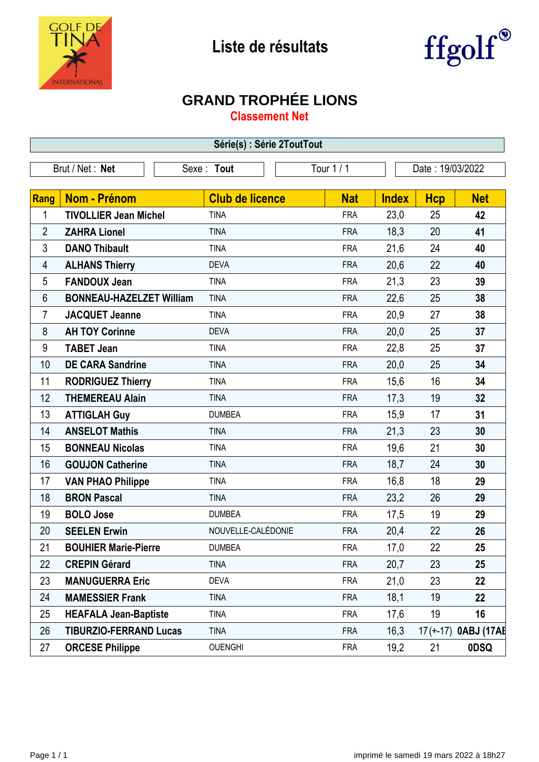



## **GRAND TROPHÉE LIONS**

**Classement Net**

| Série(s) : Série 2ToutTout |                                 |                        |            |              |            |                     |  |
|----------------------------|---------------------------------|------------------------|------------|--------------|------------|---------------------|--|
| Brut / Net: Net            |                                 | Sexe: Tout             | Tour 1 / 1 |              |            | Date: 19/03/2022    |  |
|                            |                                 |                        |            |              |            |                     |  |
| Rang                       | Nom - Prénom                    | <b>Club de licence</b> | <b>Nat</b> | <b>Index</b> | <b>Hcp</b> | <b>Net</b>          |  |
| 1                          | <b>TIVOLLIER Jean Michel</b>    | <b>TINA</b>            | <b>FRA</b> | 23,0         | 25         | 42                  |  |
| $\overline{2}$             | <b>ZAHRA Lionel</b>             | <b>TINA</b>            | <b>FRA</b> | 18,3         | 20         | 41                  |  |
| 3                          | <b>DANO Thibault</b>            | <b>TINA</b>            | <b>FRA</b> | 21,6         | 24         | 40                  |  |
| 4                          | <b>ALHANS Thierry</b>           | <b>DEVA</b>            | <b>FRA</b> | 20,6         | 22         | 40                  |  |
| 5                          | <b>FANDOUX Jean</b>             | <b>TINA</b>            | <b>FRA</b> | 21,3         | 23         | 39                  |  |
| 6                          | <b>BONNEAU-HAZELZET William</b> | <b>TINA</b>            | <b>FRA</b> | 22,6         | 25         | 38                  |  |
| 7                          | <b>JACQUET Jeanne</b>           | <b>TINA</b>            | <b>FRA</b> | 20,9         | 27         | 38                  |  |
| 8                          | <b>AH TOY Corinne</b>           | <b>DEVA</b>            | <b>FRA</b> | 20,0         | 25         | 37                  |  |
| 9                          | <b>TABET Jean</b>               | <b>TINA</b>            | <b>FRA</b> | 22,8         | 25         | 37                  |  |
| 10                         | <b>DE CARA Sandrine</b>         | <b>TINA</b>            | <b>FRA</b> | 20,0         | 25         | 34                  |  |
| 11                         | <b>RODRIGUEZ Thierry</b>        | <b>TINA</b>            | <b>FRA</b> | 15,6         | 16         | 34                  |  |
| 12                         | <b>THEMEREAU Alain</b>          | <b>TINA</b>            | <b>FRA</b> | 17,3         | 19         | 32                  |  |
| 13                         | <b>ATTIGLAH Guy</b>             | <b>DUMBEA</b>          | <b>FRA</b> | 15,9         | 17         | 31                  |  |
| 14                         | <b>ANSELOT Mathis</b>           | <b>TINA</b>            | <b>FRA</b> | 21,3         | 23         | 30                  |  |
| 15                         | <b>BONNEAU Nicolas</b>          | <b>TINA</b>            | <b>FRA</b> | 19,6         | 21         | 30                  |  |
| 16                         | <b>GOUJON Catherine</b>         | <b>TINA</b>            | <b>FRA</b> | 18,7         | 24         | 30                  |  |
| 17                         | <b>VAN PHAO Philippe</b>        | <b>TINA</b>            | <b>FRA</b> | 16,8         | 18         | 29                  |  |
| 18                         | <b>BRON Pascal</b>              | <b>TINA</b>            | <b>FRA</b> | 23,2         | 26         | 29                  |  |
| 19                         | <b>BOLO Jose</b>                | <b>DUMBEA</b>          | <b>FRA</b> | 17,5         | 19         | 29                  |  |
| 20                         | <b>SEELEN Erwin</b>             | NOUVELLE-CALÉDONIE     | <b>FRA</b> | 20,4         | 22         | 26                  |  |
| 21                         | <b>BOUHIER Marie-Pierre</b>     | <b>DUMBEA</b>          | <b>FRA</b> | 17,0         | 22         | 25                  |  |
| 22                         | <b>CREPIN Gérard</b>            | <b>TINA</b>            | <b>FRA</b> | 20,7         | 23         | 25                  |  |
| 23                         | <b>MANUGUERRA Eric</b>          | <b>DEVA</b>            | <b>FRA</b> | 21,0         | 23         | 22                  |  |
| 24                         | <b>MAMESSIER Frank</b>          | <b>TINA</b>            | <b>FRA</b> | 18,1         | 19         | 22                  |  |
| 25                         | <b>HEAFALA Jean-Baptiste</b>    | <b>TINA</b>            | <b>FRA</b> | 17,6         | 19         | 16                  |  |
| 26                         | <b>TIBURZIO-FERRAND Lucas</b>   | <b>TINA</b>            | <b>FRA</b> | 16,3         |            | 17(+-17) OABJ (17AE |  |
| 27                         | <b>ORCESE Philippe</b>          | <b>OUENGHI</b>         | <b>FRA</b> | 19,2         | 21         | <b>ODSQ</b>         |  |
|                            |                                 |                        |            |              |            |                     |  |